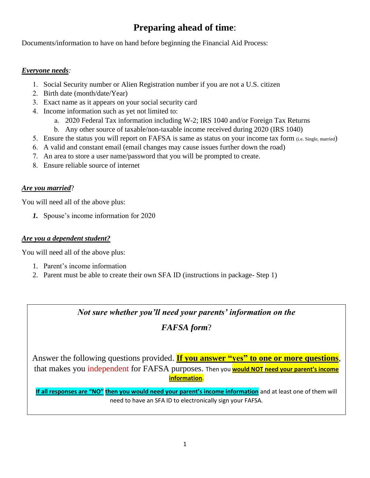# **Preparing ahead of time**:

Documents/information to have on hand before beginning the Financial Aid Process:

#### *Everyone needs:*

- 1. Social Security number or Alien Registration number if you are not a U.S. citizen
- 2. Birth date (month/date/Year)
- 3. Exact name as it appears on your social security card
- 4. Income information such as yet not limited to:
	- a. 2020 Federal Tax information including W-2; IRS 1040 and/or Foreign Tax Returns
	- b. Any other source of taxable/non-taxable income received during 2020 (IRS 1040)
- 5. Ensure the status you will report on FAFSA is same as status on your income tax form (i.e. Single, married)
- 6. A valid and constant email (email changes may cause issues further down the road)
- 7. An area to store a user name/password that you will be prompted to create.
- 8. Ensure reliable source of internet

#### *Are you married*?

You will need all of the above plus:

*1.* Spouse's income information for 2020

#### *Are you a dependent student?*

You will need all of the above plus:

- 1. Parent's income information
- 2. Parent must be able to create their own SFA ID (instructions in package- Step 1)

*Not sure whether you'll need your parents' information on the* 

### *FAFSA form*?

Answer the following questions provided. **If you answer "yes" to one or more questions**, that makes you independent for FAFSA purposes. Then you **would NOT need your parent's income information**.

**If all responses are "NO" then you would need your parent's income information** and at least one of them will need to have an SFA ID to electronically sign your FAFSA.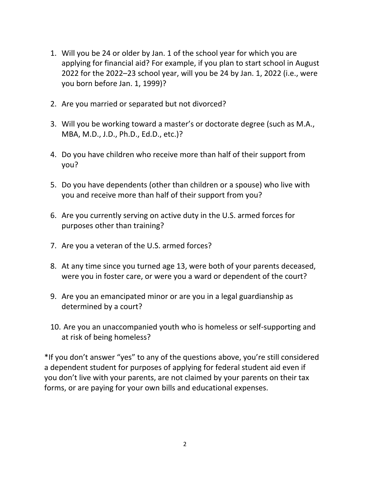- 1. Will you be 24 or older by Jan. 1 of the school year for which you are applying for financial aid? For example, if you plan to start school in August 2022 for the 2022–23 school year, will you be 24 by Jan. 1, 2022 (i.e., were you born before Jan. 1, 1999)?
- 2. Are you married or separated but not divorced?
- 3. Will you be working toward a master's or doctorate degree (such as M.A., MBA, M.D., J.D., Ph.D., Ed.D., etc.)?
- 4. Do you have children who receive more than half of their support from you?
- 5. Do you have dependents (other than children or a spouse) who live with you and receive more than half of their support from you?
- 6. Are you currently serving on active duty in the U.S. armed forces for purposes other than training?
- 7. Are you a veteran of the U.S. armed forces?
- 8. At any time since you turned age 13, were both of your parents deceased, were you in foster care, or were you a ward or dependent of the court?
- 9. Are you an emancipated minor or are you in a legal guardianship as determined by a court?
- 10. Are you an unaccompanied youth who is homeless or self-supporting and at risk of being homeless?

\*If you don't answer "yes" to any of the questions above, you're still considered a dependent student for purposes of applying for federal student aid even if you don't live with your parents, are not claimed by your parents on their tax forms, or are paying for your own bills and educational expenses.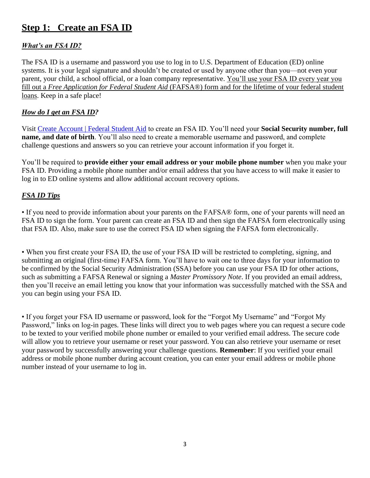# **Step 1: Create an FSA ID**

### *What's an FSA ID?*

The FSA ID is a username and password you use to log in to U.S. Department of Education (ED) online systems. It is your legal signature and shouldn't be created or used by anyone other than you—not even your parent, your child, a school official, or a loan company representative. You'll use your FSA ID every year you fill out a *Free Application for Federal Student Aid* (FAFSA®) form and for the lifetime of your federal student loans. Keep in a safe place!

#### *How do I get an FSA ID?*

Visit [Create Account | Federal Student Aid](https://studentaid.gov/fsa-id/create-account/launch) to create an FSA ID. You'll need your **Social Security number, full name, and date of birth**. You'll also need to create a memorable username and password, and complete challenge questions and answers so you can retrieve your account information if you forget it.

You'll be required to **provide either your email address or your mobile phone number** when you make your FSA ID. Providing a mobile phone number and/or email address that you have access to will make it easier to log in to ED online systems and allow additional account recovery options.

#### *FSA ID Tips*

• If you need to provide information about your parents on the FAFSA® form, one of your parents will need an FSA ID to sign the form. Your parent can create an FSA ID and then sign the FAFSA form electronically using that FSA ID. Also, make sure to use the correct FSA ID when signing the FAFSA form electronically.

• When you first create your FSA ID, the use of your FSA ID will be restricted to completing, signing, and submitting an original (first-time) FAFSA form. You'll have to wait one to three days for your information to be confirmed by the Social Security Administration (SSA) before you can use your FSA ID for other actions, such as submitting a FAFSA Renewal or signing a *Master Promissory Note*. If you provided an email address, then you'll receive an email letting you know that your information was successfully matched with the SSA and you can begin using your FSA ID.

• If you forget your FSA ID username or password, look for the "Forgot My Username" and "Forgot My Password," links on log-in pages. These links will direct you to web pages where you can request a secure code to be texted to your verified mobile phone number or emailed to your verified email address. The secure code will allow you to retrieve your username or reset your password. You can also retrieve your username or reset your password by successfully answering your challenge questions. **Remember**: If you verified your email address or mobile phone number during account creation, you can enter your email address or mobile phone number instead of your username to log in.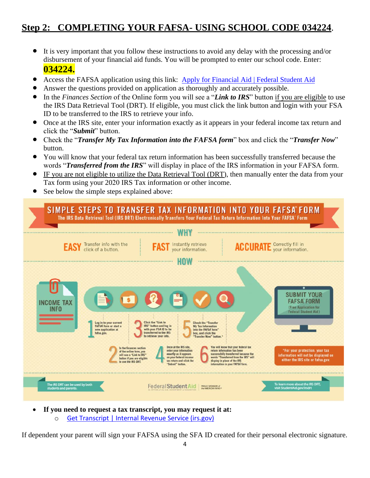# **Step 2: COMPLETING YOUR FAFSA- USING SCHOOL CODE 034224**.

- It is very important that you follow these instructions to avoid any delay with the processing and/or disbursement of your financial aid funds. You will be prompted to enter our school code. Enter: **034224.**
- Access the FAFSA application using this link: [Apply for Financial Aid | Federal Student Aid](https://studentaid.gov/h/apply-for-aid/fafsa)
- Answer the questions provided on application as thoroughly and accurately possible.
- In the *Finances Section* of the Online form you will see a "*Link to IRS*" button if you are eligible to use the IRS Data Retrieval Tool (DRT). If eligible, you must click the link button and login with your FSA ID to be transferred to the IRS to retrieve your info.
- Once at the IRS site, enter your information exactly as it appears in your federal income tax return and click the "*Submit*" button.
- Check the "*Transfer My Tax Information into the FAFSA form*" box and click the "*Transfer Now*" button.
- You will know that your federal tax return information has been successfully transferred because the words "*Transferred from the IRS*" will display in place of the IRS information in your FAFSA form.
- IF you are not eligible to utilize the Data Retrieval Tool (DRT), then manually enter the data from your Tax form using your 2020 IRS Tax information or other income.
- See below the simple steps explained above:



• **If you need to request a tax transcript, you may request it at:** o [Get Transcript | Internal Revenue Service \(irs.gov\)](https://www.irs.gov/individuals/get-transcript)

If dependent your parent will sign your FAFSA using the SFA ID created for their personal electronic signature.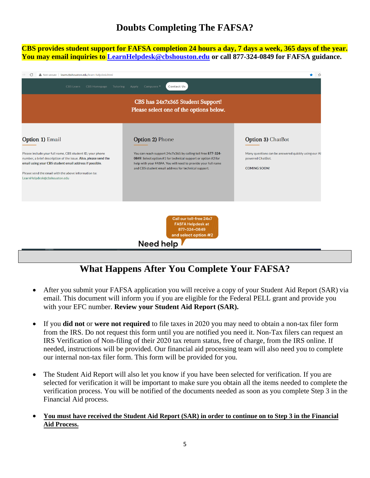# **Doubts Completing The FAFSA?**

**CBS provides student support for FAFSA completion 24 hours a day, 7 days a week, 365 days of the year. You may email inquiries to [LearnHelpdesk@cbshouston.edu](mailto:LearnHelpdesk@cbshouston.edu) or call 877-324-0849 for FAFSA guidance.**

| G<br>A Not secure   learn.cbshouston.edu/learn-helpdesk.html                                                                                                                                                                                                                                       |                                                                                                                                                                                                                                                                                  | ≺ੇ≡                                                                                                                 |  |  |  |
|----------------------------------------------------------------------------------------------------------------------------------------------------------------------------------------------------------------------------------------------------------------------------------------------------|----------------------------------------------------------------------------------------------------------------------------------------------------------------------------------------------------------------------------------------------------------------------------------|---------------------------------------------------------------------------------------------------------------------|--|--|--|
| CBS Learn<br><b>CBS Homepage</b><br>Tutoring                                                                                                                                                                                                                                                       | Contact Us<br>Campuses<br>Apply                                                                                                                                                                                                                                                  |                                                                                                                     |  |  |  |
| CBS has 24x7x365 Student Support!<br>Please select one of the options below.                                                                                                                                                                                                                       |                                                                                                                                                                                                                                                                                  |                                                                                                                     |  |  |  |
| Option 1) Email<br>Please include your full name, CBS student ID, your phone<br>number, a brief description of the issue. Also, please send the<br>email using your CBS student email address if possible.<br>Please send the email with the above information to:<br>LearnHelpdesk@cbshouston.edu | <b>Option 2)</b> Phone<br>You can reach support 24x7x365 by calling toll free 877-324-<br>0849. Select option #1 for technical support or option #2 for<br>help with your FASFA. You will need to provide your full name<br>and CBS student email address for technical support. | Option 3) ChatBot<br>Many questions can be answered quickly using our Al<br>powered ChatBot.<br><b>COMING SOON!</b> |  |  |  |
|                                                                                                                                                                                                                                                                                                    | Call our toll-free 24x7<br><b>FASFA Helpdesk at</b><br>877-324-0849<br>and select option #2<br>Need help                                                                                                                                                                         |                                                                                                                     |  |  |  |

# **What Happens After You Complete Your FAFSA?**

- After you submit your FAFSA application you will receive a copy of your Student Aid Report (SAR) via email. This document will inform you if you are eligible for the Federal PELL grant and provide you with your EFC number. **Review your Student Aid Report (SAR).**
- If you **did not** or **were not required** to file taxes in 2020 you may need to obtain a non-tax filer form from the IRS. Do not request this form until you are notified you need it. Non-Tax filers can request an IRS Verification of Non-filing of their 2020 tax return status, free of charge, from the IRS online. If needed, instructions will be provided. Our financial aid processing team will also need you to complete our internal non-tax filer form. This form will be provided for you.
- The Student Aid Report will also let you know if you have been selected for verification. If you are selected for verification it will be important to make sure you obtain all the items needed to complete the verification process. You will be notified of the documents needed as soon as you complete Step 3 in the Financial Aid process.
- **You must have received the Student Aid Report (SAR) in order to continue on to Step 3 in the Financial Aid Process.**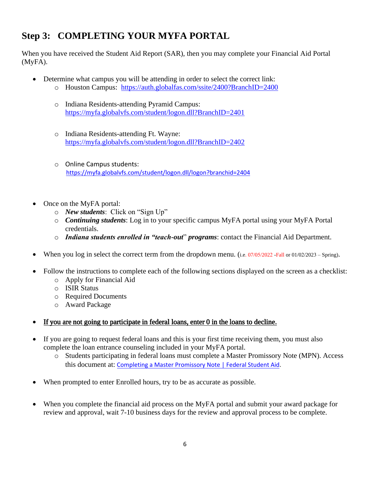# **Step 3: COMPLETING YOUR MYFA PORTAL**

When you have received the Student Aid Report (SAR), then you may complete your Financial Aid Portal (MyFA).

- Determine what campus you will be attending in order to select the correct link:
	- o Houston Campus: <https://auth.globalfas.com/ssite/2400?BranchID=2400>
	- o Indiana Residents-attending Pyramid Campus: <https://myfa.globalvfs.com/student/logon.dll?BranchID=2401>
	- o Indiana Residents-attending Ft. Wayne: <https://myfa.globalvfs.com/student/logon.dll?BranchID=2402>
	- o Online Campus students: <https://myfa.globalvfs.com/student/logon.dll/logon?branchid=2404>
- Once on the MyFA portal:
	- o *New students*: Click on "Sign Up"
	- o *Continuing students*: Log in to your specific campus MyFA portal using your MyFA Portal credentials.
	- o *Indiana students enrolled in "teach-out*" *programs*: contact the Financial Aid Department.
- When you log in select the correct term from the dropdown menu. (i.e. 07/05/2022 -Fall or 01/02/2023 Spring).
- Follow the instructions to complete each of the following sections displayed on the screen as a checklist:
	- o Apply for Financial Aid
	- o ISIR Status
	- o Required Documents
	- o Award Package
- If you are not going to participate in federal loans, enter 0 in the loans to decline.
- If you are going to request federal loans and this is your first time receiving them, you must also complete the loan entrance counseling included in your MyFA portal.
	- o Students participating in federal loans must complete a Master Promissory Note (MPN). Access this document at: [Completing a Master Promissory Note | Federal Student Aid.](https://studentaid.gov/mpn/)
- When prompted to enter Enrolled hours, try to be as accurate as possible.
- When you complete the financial aid process on the MyFA portal and submit your award package for review and approval, wait 7-10 business days for the review and approval process to be complete.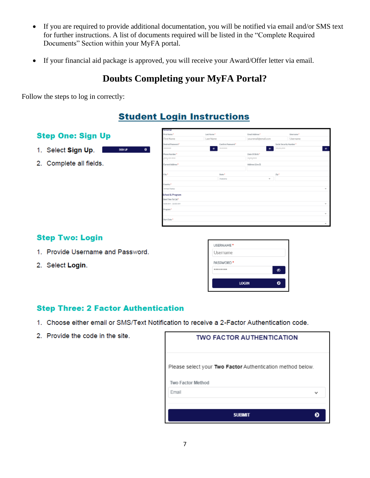- If you are required to provide additional documentation, you will be notified via email and/or SMS text for further instructions. A list of documents required will be listed in the "Complete Required Documents" Section within your MyFA portal.
- If your financial aid package is approved, you will receive your Award/Offer letter via email.

### **Doubts Completing your MyFA Portal?**

Follow the steps to log in correctly:

### **Student Login Instructions**

### **Step One: Sign Up**

- 1. Select Sign Up.
- 2. Complete all fields.

| First Name *              | Last Name * |                    | Email Address *                                                                                                                                                                                                                                                                                                                                |                         | Usercane* |    |
|---------------------------|-------------|--------------------|------------------------------------------------------------------------------------------------------------------------------------------------------------------------------------------------------------------------------------------------------------------------------------------------------------------------------------------------|-------------------------|-----------|----|
| First Name                | Last Name   |                    | youremail@email.com                                                                                                                                                                                                                                                                                                                            |                         | Username  |    |
| Desired Password*         |             | Confirm Password*  |                                                                                                                                                                                                                                                                                                                                                | Social Security Number* |           |    |
| --------                  | ø           | ********           | $\bullet$                                                                                                                                                                                                                                                                                                                                      | --------                |           | ø. |
| Phone Number <sup>4</sup> |             |                    | Date Of Birth*                                                                                                                                                                                                                                                                                                                                 |                         |           |    |
| (bear) and manus          |             |                    | $\begin{smallmatrix} \begin{smallmatrix} 0 & 0 & 0 \\ 0 & 0 & 0 \\ 0 & 0 & 0 \\ 0 & 0 & 0 \\ 0 & 0 & 0 \\ 0 & 0 & 0 \\ 0 & 0 & 0 \\ 0 & 0 & 0 & 0 \\ 0 & 0 & 0 & 0 \\ 0 & 0 & 0 & 0 \\ 0 & 0 & 0 & 0 \\ 0 & 0 & 0 & 0 & 0 \\ 0 & 0 & 0 & 0 & 0 \\ 0 & 0 & 0 & 0 & 0 \\ 0 & 0 & 0 & 0 & 0 & 0 \\ 0 & 0 & 0 & 0 & 0 & 0 \\ 0 & 0 & 0 & 0 & 0 & $ |                         |           |    |
| Current Address*          |             |                    | Address (Line 2)                                                                                                                                                                                                                                                                                                                               |                         |           |    |
|                           |             |                    |                                                                                                                                                                                                                                                                                                                                                |                         |           |    |
| City*                     |             | State <sup>+</sup> |                                                                                                                                                                                                                                                                                                                                                | $Z\phi^+$               |           |    |
|                           |             | Alabama            | $\lambda_{\rm B}$                                                                                                                                                                                                                                                                                                                              |                         |           |    |
| Country <sup>®</sup>      |             |                    |                                                                                                                                                                                                                                                                                                                                                |                         |           |    |
| United States             |             |                    |                                                                                                                                                                                                                                                                                                                                                |                         |           | ×. |
| School & Program          |             |                    |                                                                                                                                                                                                                                                                                                                                                |                         |           |    |
| Best Time To Call*        |             |                    |                                                                                                                                                                                                                                                                                                                                                |                         |           |    |
| 8:00 AM - 10:00 AM        |             |                    |                                                                                                                                                                                                                                                                                                                                                |                         |           | v  |
| Program <sup>*</sup>      |             |                    |                                                                                                                                                                                                                                                                                                                                                |                         |           |    |
|                           |             |                    |                                                                                                                                                                                                                                                                                                                                                |                         |           | v  |
| Start Date *              |             |                    |                                                                                                                                                                                                                                                                                                                                                |                         |           |    |
|                           |             |                    |                                                                                                                                                                                                                                                                                                                                                |                         |           | v  |

#### **Step Two: Login**

- 1. Provide Username and Password.
- 2. Select Login.

| <b>LOGIN</b>                      |  |
|-----------------------------------|--|
| PASSWORD <sup>*</sup><br>******** |  |
| Username                          |  |
| USERNAME <sup>+</sup>             |  |

#### **Step Three: 2 Factor Authentication**

SON UP TO THE

 $\bullet$ 

- 1. Choose either email or SMS/Text Notification to receive a 2-Factor Authentication code.
- 2. Provide the code in the site.

| <b>TWO FACTOR AUTHENTICATION</b>                                                       |                          |  |  |  |
|----------------------------------------------------------------------------------------|--------------------------|--|--|--|
| Please select your Two Factor Authentication method below.<br><b>Two Factor Method</b> |                          |  |  |  |
| Email                                                                                  | $\overline{\phantom{a}}$ |  |  |  |
| <b>SUBMIT</b>                                                                          |                          |  |  |  |